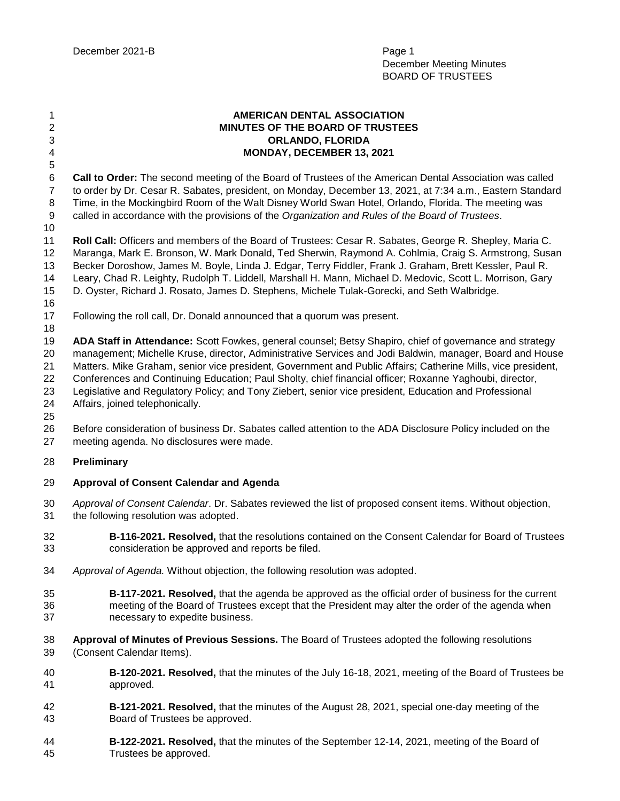**AMERICAN DENTAL ASSOCIATION MINUTES OF THE BOARD OF TRUSTEES ORLANDO, FLORIDA MONDAY, DECEMBER 13, 2021 Call to Order:** The second meeting of the Board of Trustees of the American Dental Association was called to order by Dr. Cesar R. Sabates, president, on Monday, December 13, 2021, at 7:34 a.m., Eastern Standard Time, in the Mockingbird Room of the Walt Disney World Swan Hotel, Orlando, Florida. The meeting was called in accordance with the provisions of the *Organization and Rules of the Board of Trustees*. **Roll Call:** Officers and members of the Board of Trustees: Cesar R. Sabates, George R. Shepley, Maria C. Maranga, Mark E. Bronson, W. Mark Donald, Ted Sherwin, Raymond A. Cohlmia, Craig S. Armstrong, Susan Becker Doroshow, James M. Boyle, Linda J. Edgar, Terry Fiddler, Frank J. Graham, Brett Kessler, Paul R. Leary, Chad R. Leighty, Rudolph T. Liddell, Marshall H. Mann, Michael D. Medovic, Scott L. Morrison, Gary D. Oyster, Richard J. Rosato, James D. Stephens, Michele Tulak-Gorecki, and Seth Walbridge. Following the roll call, Dr. Donald announced that a quorum was present. **ADA Staff in Attendance:** Scott Fowkes, general counsel; Betsy Shapiro, chief of governance and strategy management; Michelle Kruse, director, Administrative Services and Jodi Baldwin, manager, Board and House Matters. Mike Graham, senior vice president, Government and Public Affairs; Catherine Mills, vice president, Conferences and Continuing Education; Paul Sholty, chief financial officer; Roxanne Yaghoubi, director, Legislative and Regulatory Policy; and Tony Ziebert, senior vice president, Education and Professional Affairs, joined telephonically. Before consideration of business Dr. Sabates called attention to the ADA Disclosure Policy included on the meeting agenda. No disclosures were made. **Preliminary Approval of Consent Calendar and Agenda** *Approval of Consent Calendar*. Dr. Sabates reviewed the list of proposed consent items. Without objection, the following resolution was adopted. **B-116-2021. Resolved,** that the resolutions contained on the Consent Calendar for Board of Trustees consideration be approved and reports be filed. *Approval of Agenda.* Without objection, the following resolution was adopted. **B-117-2021. Resolved,** that the agenda be approved as the official order of business for the current meeting of the Board of Trustees except that the President may alter the order of the agenda when necessary to expedite business. **Approval of Minutes of Previous Sessions.** The Board of Trustees adopted the following resolutions (Consent Calendar Items). **B-120-2021. Resolved,** that the minutes of the July 16-18, 2021, meeting of the Board of Trustees be approved. **B-121-2021. Resolved,** that the minutes of the August 28, 2021, special one-day meeting of the Board of Trustees be approved. **B-122-2021. Resolved,** that the minutes of the September 12-14, 2021, meeting of the Board of Trustees be approved.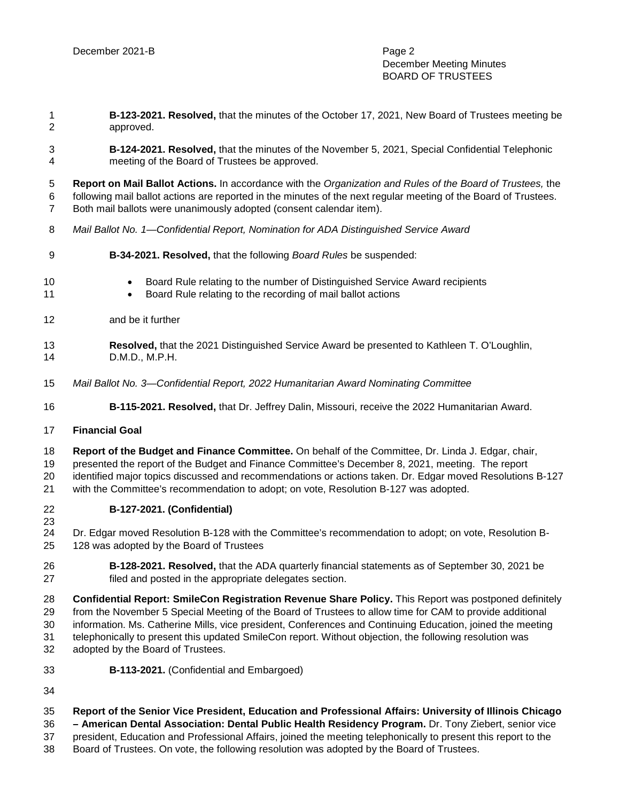December Meeting Minutes BOARD OF TRUSTEES

 **B-123-2021. Resolved,** that the minutes of the October 17, 2021, New Board of Trustees meeting be approved.

 **B-124-2021. Resolved,** that the minutes of the November 5, 2021, Special Confidential Telephonic meeting of the Board of Trustees be approved.

 **Report on Mail Ballot Actions.** In accordance with the *Organization and Rules of the Board of Trustees,* the following mail ballot actions are reported in the minutes of the next regular meeting of the Board of Trustees. Both mail ballots were unanimously adopted (consent calendar item).

- *Mail Ballot No. 1—Confidential Report, Nomination for ADA Distinguished Service Award*
- **B-34-2021. Resolved,** that the following *Board Rules* be suspended:
- 10 Board Rule relating to the number of Distinguished Service Award recipients
- 11 Board Rule relating to the recording of mail ballot actions
- and be it further
- **Resolved,** that the 2021 Distinguished Service Award be presented to Kathleen T. O'Loughlin, D.M.D., M.P.H.
- *Mail Ballot No. 3—Confidential Report, 2022 Humanitarian Award Nominating Committee*
- **B-115-2021. Resolved,** that Dr. Jeffrey Dalin, Missouri, receive the 2022 Humanitarian Award.

## **Financial Goal**

**Report of the Budget and Finance Committee.** On behalf of the Committee, Dr. Linda J. Edgar, chair,

presented the report of the Budget and Finance Committee's December 8, 2021, meeting. The report

identified major topics discussed and recommendations or actions taken. Dr. Edgar moved Resolutions B-127

with the Committee's recommendation to adopt; on vote, Resolution B-127 was adopted.

**B-127-2021. (Confidential)**

23<br>24 Dr. Edgar moved Resolution B-128 with the Committee's recommendation to adopt; on vote, Resolution B-128 was adopted by the Board of Trustees

 **B-128-2021. Resolved,** that the ADA quarterly financial statements as of September 30, 2021 be filed and posted in the appropriate delegates section.

 **Confidential Report: SmileCon Registration Revenue Share Policy.** This Report was postponed definitely from the November 5 Special Meeting of the Board of Trustees to allow time for CAM to provide additional information. Ms. Catherine Mills, vice president, Conferences and Continuing Education, joined the meeting telephonically to present this updated SmileCon report. Without objection, the following resolution was

- adopted by the Board of Trustees.
- **B-113-2021.** (Confidential and Embargoed)
- 

## **Report of the Senior Vice President, Education and Professional Affairs: University of Illinois Chicago**

**– American Dental Association: Dental Public Health Residency Program.** Dr. Tony Ziebert, senior vice

president, Education and Professional Affairs, joined the meeting telephonically to present this report to the

Board of Trustees. On vote, the following resolution was adopted by the Board of Trustees.